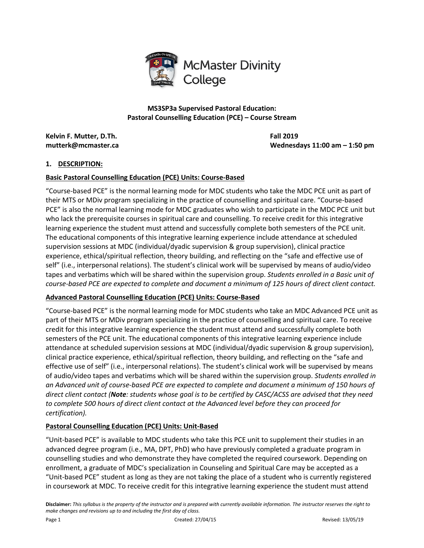

**Kelvin F. Mutter, D.Th. Fall 2019**

**mutterk@mcmaster.ca Wednesdays 11:00 am – 1:50 pm**

## **1. DESCRIPTION:**

## **Basic Pastoral Counselling Education (PCE) Units: Course-Based**

"Course-based PCE" is the normal learning mode for MDC students who take the MDC PCE unit as part of their MTS or MDiv program specializing in the practice of counselling and spiritual care. "Course-based PCE" is also the normal learning mode for MDC graduates who wish to participate in the MDC PCE unit but who lack the prerequisite courses in spiritual care and counselling. To receive credit for this integrative learning experience the student must attend and successfully complete both semesters of the PCE unit. The educational components of this integrative learning experience include attendance at scheduled supervision sessions at MDC (individual/dyadic supervision & group supervision), clinical practice experience, ethical/spiritual reflection, theory building, and reflecting on the "safe and effective use of self" (i.e., interpersonal relations). The student's clinical work will be supervised by means of audio/video tapes and verbatims which will be shared within the supervision group. *Students enrolled in a Basic unit of course-based PCE are expected to complete and document a minimum of 125 hours of direct client contact.*

#### **Advanced Pastoral Counselling Education (PCE) Units: Course-Based**

"Course-based PCE" is the normal learning mode for MDC students who take an MDC Advanced PCE unit as part of their MTS or MDiv program specializing in the practice of counselling and spiritual care. To receive credit for this integrative learning experience the student must attend and successfully complete both semesters of the PCE unit. The educational components of this integrative learning experience include attendance at scheduled supervision sessions at MDC (individual/dyadic supervision & group supervision), clinical practice experience, ethical/spiritual reflection, theory building, and reflecting on the "safe and effective use of self" (i.e., interpersonal relations). The student's clinical work will be supervised by means of audio/video tapes and verbatims which will be shared within the supervision group. *Students enrolled in an Advanced unit of course-based PCE are expected to complete and document a minimum of 150 hours of direct client contact (Note: students whose goal is to be certified by CASC/ACSS are advised that they need to complete 500 hours of direct client contact at the Advanced level before they can proceed for certification).* 

## **Pastoral Counselling Education (PCE) Units: Unit-Based**

"Unit-based PCE" is available to MDC students who take this PCE unit to supplement their studies in an advanced degree program (i.e., MA, DPT, PhD) who have previously completed a graduate program in counselling studies and who demonstrate they have completed the required coursework. Depending on enrollment, a graduate of MDC's specialization in Counseling and Spiritual Care may be accepted as a "Unit-based PCE" student as long as they are not taking the place of a student who is currently registered in coursework at MDC. To receive credit for this integrative learning experience the student must attend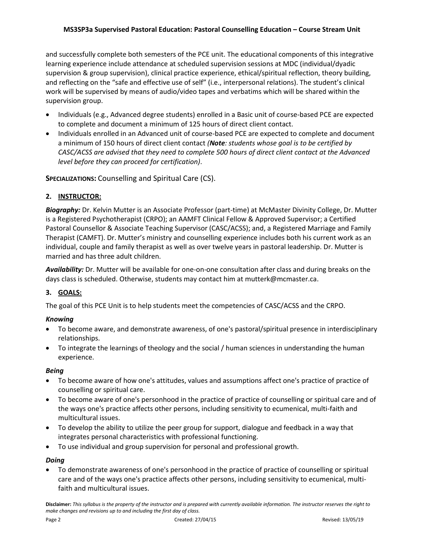and successfully complete both semesters of the PCE unit. The educational components of this integrative learning experience include attendance at scheduled supervision sessions at MDC (individual/dyadic supervision & group supervision), clinical practice experience, ethical/spiritual reflection, theory building, and reflecting on the "safe and effective use of self" (i.e., interpersonal relations). The student's clinical work will be supervised by means of audio/video tapes and verbatims which will be shared within the supervision group.

- Individuals (e.g., Advanced degree students) enrolled in a Basic unit of course-based PCE are expected to complete and document a minimum of 125 hours of direct client contact.
- Individuals enrolled in an Advanced unit of course-based PCE are expected to complete and document a minimum of 150 hours of direct client contact *(Note: students whose goal is to be certified by CASC/ACSS are advised that they need to complete 500 hours of direct client contact at the Advanced level before they can proceed for certification)*.

**SPECIALIZATIONS:** Counselling and Spiritual Care (CS).

# **2. INSTRUCTOR:**

*Biography:* Dr. Kelvin Mutter is an Associate Professor (part-time) at McMaster Divinity College, Dr. Mutter is a Registered Psychotherapist (CRPO); an AAMFT Clinical Fellow & Approved Supervisor; a Certified Pastoral Counsellor & Associate Teaching Supervisor (CASC/ACSS); and, a Registered Marriage and Family Therapist (CAMFT). Dr. Mutter's ministry and counselling experience includes both his current work as an individual, couple and family therapist as well as over twelve years in pastoral leadership. Dr. Mutter is married and has three adult children.

*Availability:* Dr. Mutter will be available for one-on-one consultation after class and during breaks on the days class is scheduled. Otherwise, students may contact him at mutterk@mcmaster.ca.

# **3. GOALS:**

The goal of this PCE Unit is to help students meet the competencies of CASC/ACSS and the CRPO.

# *Knowing*

- To become aware, and demonstrate awareness, of one's pastoral/spiritual presence in interdisciplinary relationships.
- To integrate the learnings of theology and the social / human sciences in understanding the human experience.

## *Being*

- To become aware of how one's attitudes, values and assumptions affect one's practice of practice of counselling or spiritual care.
- To become aware of one's personhood in the practice of practice of counselling or spiritual care and of the ways one's practice affects other persons, including sensitivity to ecumenical, multi-faith and multicultural issues.
- To develop the ability to utilize the peer group for support, dialogue and feedback in a way that integrates personal characteristics with professional functioning.
- To use individual and group supervision for personal and professional growth.

# *Doing*

 To demonstrate awareness of one's personhood in the practice of practice of counselling or spiritual care and of the ways one's practice affects other persons, including sensitivity to ecumenical, multifaith and multicultural issues.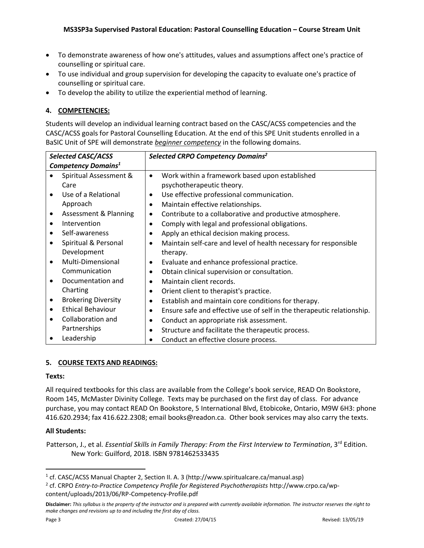- To demonstrate awareness of how one's attitudes, values and assumptions affect one's practice of counselling or spiritual care.
- To use individual and group supervision for developing the capacity to evaluate one's practice of counselling or spiritual care.
- To develop the ability to utilize the experiential method of learning.

# **4. COMPETENCIES:**

Students will develop an individual learning contract based on the CASC/ACSS competencies and the CASC/ACSS goals for Pastoral Counselling Education. At the end of this SPE Unit students enrolled in a BaSIC Unit of SPE will demonstrate *beginner competency* in the following domains.

| <b>Selected CASC/ACSS</b>       |                            | Selected CRPO Competency Domains <sup>2</sup>                                       |
|---------------------------------|----------------------------|-------------------------------------------------------------------------------------|
| Competency Domains <sup>1</sup> |                            |                                                                                     |
|                                 | Spiritual Assessment &     | Work within a framework based upon established<br>$\bullet$                         |
|                                 | Care                       | psychotherapeutic theory.                                                           |
|                                 | Use of a Relational        | Use effective professional communication.<br>$\bullet$                              |
|                                 | Approach                   | Maintain effective relationships.<br>$\bullet$                                      |
| $\bullet$                       | Assessment & Planning      | Contribute to a collaborative and productive atmosphere.<br>$\bullet$               |
| $\bullet$                       | Intervention               | Comply with legal and professional obligations.<br>$\bullet$                        |
| $\bullet$                       | Self-awareness             | Apply an ethical decision making process.<br>$\bullet$                              |
|                                 | Spiritual & Personal       | Maintain self-care and level of health necessary for responsible<br>$\bullet$       |
|                                 | Development                | therapy.                                                                            |
| $\bullet$                       | Multi-Dimensional          | Evaluate and enhance professional practice.<br>$\bullet$                            |
|                                 | Communication              | Obtain clinical supervision or consultation.<br>$\bullet$                           |
|                                 | Documentation and          | Maintain client records.<br>$\bullet$                                               |
|                                 | Charting                   | Orient client to therapist's practice.<br>$\bullet$                                 |
| $\bullet$                       | <b>Brokering Diversity</b> | Establish and maintain core conditions for therapy.<br>$\bullet$                    |
| $\bullet$                       | <b>Ethical Behaviour</b>   | Ensure safe and effective use of self in the therapeutic relationship.<br>$\bullet$ |
|                                 | Collaboration and          | Conduct an appropriate risk assessment.<br>$\bullet$                                |
|                                 | Partnerships               | Structure and facilitate the therapeutic process.<br>$\bullet$                      |
|                                 | Leadership                 | Conduct an effective closure process.                                               |

## **5. COURSE TEXTS AND READINGS:**

## **Texts:**

All required textbooks for this class are available from the College's book service, READ On Bookstore, Room 145, McMaster Divinity College. Texts may be purchased on the first day of class. For advance purchase, you may contact READ On Bookstore, 5 International Blvd, Etobicoke, Ontario, M9W 6H3: phone 416.620.2934; fax 416.622.2308; email books@readon.ca. Other book services may also carry the texts.

## **All Students:**

Patterson, J., et al. *Essential Skills in Family Therapy: From the First Interview to Termination*, 3<sup>rd</sup> Edition. New York: Guilford, 2018. ISBN 9781462533435

 $\overline{\phantom{a}}$ 

<sup>&</sup>lt;sup>1</sup> cf. CASC/ACSS Manual Chapter 2, Section II. A. 3 (http://www.spiritualcare.ca/manual.asp)

<sup>2</sup> cf. CRPO *Entry-to-Practice Competency Profile for Registered Psychotherapists* http://www.crpo.ca/wpcontent/uploads/2013/06/RP-Competency-Profile.pdf

**Disclaimer:** *This syllabus is the property of the instructor and is prepared with currently available information. The instructor reserves the right to make changes and revisions up to and including the first day of class.*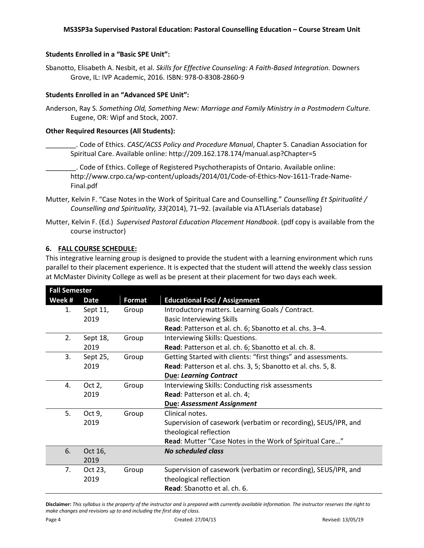#### **Students Enrolled in a "Basic SPE Unit":**

Sbanotto, Elisabeth A. Nesbit, et al. *Skills for Effective Counseling: A Faith-Based Integration.* Downers Grove, IL: IVP Academic, 2016. ISBN: 978-0-8308-2860-9

#### **Students Enrolled in an "Advanced SPE Unit":**

Anderson, Ray S. *Something Old, Something New: Marriage and Family Ministry in a Postmodern Culture.*  Eugene, OR: Wipf and Stock, 2007.

#### **Other Required Resources (All Students):**

- \_\_\_\_\_\_\_\_. Code of Ethics. *CASC/ACSS Policy and Procedure Manual*, Chapter 5. Canadian Association for Spiritual Care. Available online: http://209.162.178.174/manual.asp?Chapter=5
	- \_\_\_\_\_\_\_\_. Code of Ethics. College of Registered Psychotherapists of Ontario. Available online: http://www.crpo.ca/wp-content/uploads/2014/01/Code-of-Ethics-Nov-1611-Trade-Name-Final.pdf
- Mutter, Kelvin F. "Case Notes in the Work of Spiritual Care and Counselling." *Counselling Et Spiritualité / Counselling and Spirituality, 33*(2014), 71–92. (available via ATLAserials database)
- Mutter, Kelvin F. (Ed.) *Supervised Pastoral Education Placement Handbook*. (pdf copy is available from the course instructor)

#### **6. FALL COURSE SCHEDULE:**

This integrative learning group is designed to provide the student with a learning environment which runs parallel to their placement experience. It is expected that the student will attend the weekly class session at McMaster Divinity College as well as be present at their placement for two days each week.

| <b>Fall Semester</b>                                             |           |                                                               |                                                                |  |
|------------------------------------------------------------------|-----------|---------------------------------------------------------------|----------------------------------------------------------------|--|
| <b>Educational Foci / Assignment</b><br>Week #<br>Format<br>Date |           |                                                               |                                                                |  |
| 1.                                                               | Sept 11,  | Group                                                         | Introductory matters. Learning Goals / Contract.               |  |
|                                                                  | 2019      |                                                               | <b>Basic Interviewing Skills</b>                               |  |
|                                                                  |           |                                                               | Read: Patterson et al. ch. 6; Sbanotto et al. chs. 3-4.        |  |
| 2.                                                               | Sept 18,  | Group                                                         | Interviewing Skills: Questions.                                |  |
|                                                                  | 2019      |                                                               | Read: Patterson et al. ch. 6; Sbanotto et al. ch. 8.           |  |
| 3.<br>Sept 25,<br>Group                                          |           | Getting Started with clients: "first things" and assessments. |                                                                |  |
|                                                                  | 2019      |                                                               | Read: Patterson et al. chs. 3, 5; Sbanotto et al. chs. 5, 8.   |  |
|                                                                  |           |                                                               | <b>Due: Learning Contract</b>                                  |  |
| 4.                                                               | Oct $2$ , | Group                                                         | Interviewing Skills: Conducting risk assessments               |  |
|                                                                  | 2019      |                                                               | Read: Patterson et al. ch. 4;                                  |  |
|                                                                  |           |                                                               | Due: Assessment Assignment                                     |  |
| 5.                                                               | Oct 9,    | Group                                                         | Clinical notes.                                                |  |
|                                                                  | 2019      |                                                               | Supervision of casework (verbatim or recording), SEUS/IPR, and |  |
|                                                                  |           |                                                               | theological reflection                                         |  |
|                                                                  |           |                                                               | Read: Mutter "Case Notes in the Work of Spiritual Care"        |  |
| 6.                                                               | Oct 16,   |                                                               | <b>No scheduled class</b>                                      |  |
|                                                                  | 2019      |                                                               |                                                                |  |
| 7.                                                               | Oct 23,   | Group                                                         | Supervision of casework (verbatim or recording), SEUS/IPR, and |  |
|                                                                  | 2019      |                                                               | theological reflection                                         |  |
|                                                                  |           |                                                               | Read: Sbanotto et al. ch. 6.                                   |  |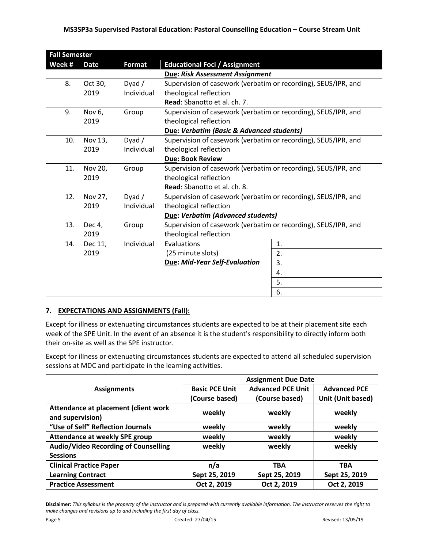| <b>Fall Semester</b>                   |                                                                      |            |                                                                |    |  |
|----------------------------------------|----------------------------------------------------------------------|------------|----------------------------------------------------------------|----|--|
| Week #                                 | <b>Format</b><br><b>Educational Foci / Assignment</b><br><b>Date</b> |            |                                                                |    |  |
| <b>Due: Risk Assessment Assignment</b> |                                                                      |            |                                                                |    |  |
| 8.                                     | Oct 30,                                                              | Dyad/      | Supervision of casework (verbatim or recording), SEUS/IPR, and |    |  |
|                                        | 2019                                                                 | Individual | theological reflection                                         |    |  |
|                                        |                                                                      |            | <b>Read:</b> Sbanotto et al. ch. 7.                            |    |  |
| 9.                                     | Nov 6,                                                               | Group      | Supervision of casework (verbatim or recording), SEUS/IPR, and |    |  |
|                                        | 2019                                                                 |            | theological reflection                                         |    |  |
|                                        |                                                                      |            | Due: Verbatim (Basic & Advanced students)                      |    |  |
| 10.                                    | Nov 13,                                                              | Dyad/      | Supervision of casework (verbatim or recording), SEUS/IPR, and |    |  |
|                                        | 2019                                                                 | Individual | theological reflection                                         |    |  |
|                                        |                                                                      |            | <b>Due: Book Review</b>                                        |    |  |
| 11.                                    | Nov 20,                                                              | Group      | Supervision of casework (verbatim or recording), SEUS/IPR, and |    |  |
|                                        | 2019                                                                 |            | theological reflection                                         |    |  |
|                                        |                                                                      |            | Read: Sbanotto et al. ch. 8.                                   |    |  |
| 12.                                    | Nov 27,                                                              | Dyad $/$   | Supervision of casework (verbatim or recording), SEUS/IPR, and |    |  |
|                                        | 2019                                                                 | Individual | theological reflection                                         |    |  |
|                                        |                                                                      |            | Due: Verbatim (Advanced students)                              |    |  |
| 13.                                    | Dec 4,                                                               | Group      | Supervision of casework (verbatim or recording), SEUS/IPR, and |    |  |
|                                        | 2019                                                                 |            | theological reflection                                         |    |  |
| 14.                                    | Dec 11,                                                              | Individual | Evaluations                                                    | 1. |  |
|                                        | 2019                                                                 |            | (25 minute slots)                                              | 2. |  |
|                                        |                                                                      |            | <b>Due: Mid-Year Self-Evaluation</b>                           | 3. |  |
|                                        |                                                                      |            |                                                                | 4. |  |
|                                        |                                                                      |            |                                                                | 5. |  |
|                                        |                                                                      |            |                                                                | 6. |  |

# **7. EXPECTATIONS AND ASSIGNMENTS (Fall):**

Except for illness or extenuating circumstances students are expected to be at their placement site each week of the SPE Unit. In the event of an absence it is the student's responsibility to directly inform both their on-site as well as the SPE instructor.

Except for illness or extenuating circumstances students are expected to attend all scheduled supervision sessions at MDC and participate in the learning activities.

|                                                          | <b>Assignment Due Date</b> |                          |                     |  |
|----------------------------------------------------------|----------------------------|--------------------------|---------------------|--|
| <b>Assignments</b>                                       | <b>Basic PCE Unit</b>      | <b>Advanced PCE Unit</b> | <b>Advanced PCE</b> |  |
|                                                          | (Course based)             | (Course based)           | Unit (Unit based)   |  |
| Attendance at placement (client work<br>and supervision) | weekly                     | weekly                   | weekly              |  |
| "Use of Self" Reflection Journals                        | weekly                     | weekly                   | weekly              |  |
| <b>Attendance at weekly SPE group</b>                    | weekly                     | weekly                   | weekly              |  |
| <b>Audio/Video Recording of Counselling</b>              | weekly                     | weekly                   | weekly              |  |
| <b>Sessions</b>                                          |                            |                          |                     |  |
| <b>Clinical Practice Paper</b>                           | n/a                        | <b>TBA</b>               | <b>TBA</b>          |  |
| <b>Learning Contract</b>                                 | Sept 25, 2019              | Sept 25, 2019            | Sept 25, 2019       |  |
| <b>Practice Assessment</b>                               | Oct 2, 2019                | Oct 2, 2019              | Oct 2, 2019         |  |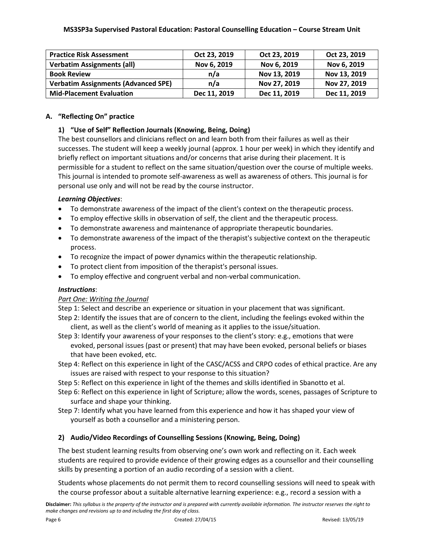| <b>Practice Risk Assessment</b>            | Oct 23, 2019 | Oct 23, 2019 | Oct 23, 2019 |
|--------------------------------------------|--------------|--------------|--------------|
| <b>Verbatim Assignments (all)</b>          | Nov 6, 2019  | Nov 6, 2019  | Nov 6, 2019  |
| <b>Book Review</b>                         | n/a          | Nov 13, 2019 | Nov 13, 2019 |
| <b>Verbatim Assignments (Advanced SPE)</b> | n/a          | Nov 27, 2019 | Nov 27, 2019 |
| <b>Mid-Placement Evaluation</b>            | Dec 11, 2019 | Dec 11, 2019 | Dec 11, 2019 |

## **A. "Reflecting On" practice**

## **1) "Use of Self" Reflection Journals (Knowing, Being, Doing)**

The best counsellors and clinicians reflect on and learn both from their failures as well as their successes. The student will keep a weekly journal (approx. 1 hour per week) in which they identify and briefly reflect on important situations and/or concerns that arise during their placement. It is permissible for a student to reflect on the same situation/question over the course of multiple weeks. This journal is intended to promote self-awareness as well as awareness of others. This journal is for personal use only and will not be read by the course instructor.

## *Learning Objectives*:

- To demonstrate awareness of the impact of the client's context on the therapeutic process.
- To employ effective skills in observation of self, the client and the therapeutic process.
- To demonstrate awareness and maintenance of appropriate therapeutic boundaries.
- To demonstrate awareness of the impact of the therapist's subjective context on the therapeutic process.
- To recognize the impact of power dynamics within the therapeutic relationship.
- To protect client from imposition of the therapist's personal issues.
- To employ effective and congruent verbal and non-verbal communication.

## *Instructions*:

## *Part One: Writing the Journal*

Step 1: Select and describe an experience or situation in your placement that was significant.

- Step 2: Identify the issues that are of concern to the client, including the feelings evoked within the client, as well as the client's world of meaning as it applies to the issue/situation.
- Step 3: Identify your awareness of your responses to the client's story: e.g., emotions that were evoked, personal issues (past or present) that may have been evoked, personal beliefs or biases that have been evoked, etc.
- Step 4: Reflect on this experience in light of the CASC/ACSS and CRPO codes of ethical practice. Are any issues are raised with respect to your response to this situation?
- Step 5: Reflect on this experience in light of the themes and skills identified in Sbanotto et al.
- Step 6: Reflect on this experience in light of Scripture; allow the words, scenes, passages of Scripture to surface and shape your thinking.
- Step 7: Identify what you have learned from this experience and how it has shaped your view of yourself as both a counsellor and a ministering person.

# **2) Audio/Video Recordings of Counselling Sessions (Knowing, Being, Doing)**

The best student learning results from observing one's own work and reflecting on it. Each week students are required to provide evidence of their growing edges as a counsellor and their counselling skills by presenting a portion of an audio recording of a session with a client.

Students whose placements do not permit them to record counselling sessions will need to speak with the course professor about a suitable alternative learning experience: e.g., record a session with a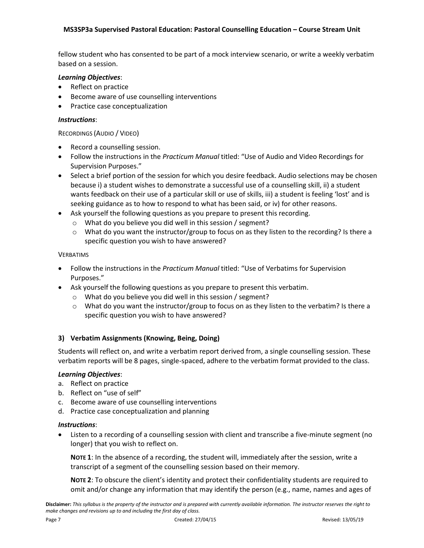fellow student who has consented to be part of a mock interview scenario, or write a weekly verbatim based on a session.

#### *Learning Objectives*:

- Reflect on practice
- Become aware of use counselling interventions
- Practice case conceptualization

#### *Instructions*:

RECORDINGS (AUDIO / VIDEO)

- Record a counselling session.
- Follow the instructions in the *Practicum Manual* titled: "Use of Audio and Video Recordings for Supervision Purposes."
- Select a brief portion of the session for which you desire feedback. Audio selections may be chosen because i) a student wishes to demonstrate a successful use of a counselling skill, ii) a student wants feedback on their use of a particular skill or use of skills, iii) a student is feeling 'lost' and is seeking guidance as to how to respond to what has been said, or iv) for other reasons.
- Ask yourself the following questions as you prepare to present this recording.
	- o What do you believe you did well in this session / segment?
	- $\circ$  What do you want the instructor/group to focus on as they listen to the recording? Is there a specific question you wish to have answered?

#### VERBATIMS

- Follow the instructions in the *Practicum Manual* titled: "Use of Verbatims for Supervision Purposes."
- Ask yourself the following questions as you prepare to present this verbatim.
	- o What do you believe you did well in this session / segment?
	- $\circ$  What do you want the instructor/group to focus on as they listen to the verbatim? Is there a specific question you wish to have answered?

## **3) Verbatim Assignments (Knowing, Being, Doing)**

Students will reflect on, and write a verbatim report derived from, a single counselling session. These verbatim reports will be 8 pages, single-spaced, adhere to the verbatim format provided to the class.

#### *Learning Objectives*:

- a. Reflect on practice
- b. Reflect on "use of self"
- c. Become aware of use counselling interventions
- d. Practice case conceptualization and planning

#### *Instructions*:

 Listen to a recording of a counselling session with client and transcribe a five-minute segment (no longer) that you wish to reflect on.

**NOTE 1**: In the absence of a recording, the student will, immediately after the session, write a transcript of a segment of the counselling session based on their memory.

**NOTE 2**: To obscure the client's identity and protect their confidentiality students are required to omit and/or change any information that may identify the person (e.g., name, names and ages of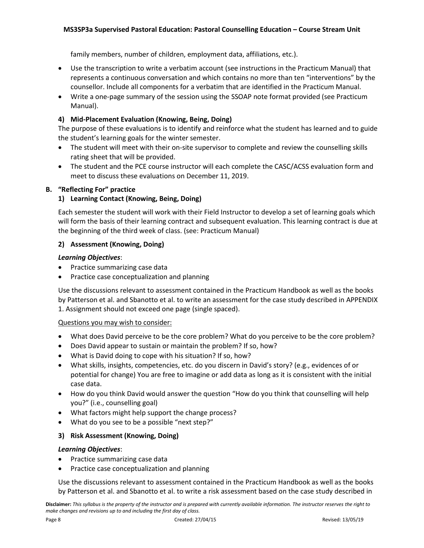family members, number of children, employment data, affiliations, etc.).

- Use the transcription to write a verbatim account (see instructions in the Practicum Manual) that represents a continuous conversation and which contains no more than ten "interventions" by the counsellor. Include all components for a verbatim that are identified in the Practicum Manual.
- Write a one-page summary of the session using the SSOAP note format provided (see Practicum Manual).

# **4) Mid-Placement Evaluation (Knowing, Being, Doing)**

The purpose of these evaluations is to identify and reinforce what the student has learned and to guide the student's learning goals for the winter semester.

- The student will meet with their on-site supervisor to complete and review the counselling skills rating sheet that will be provided.
- The student and the PCE course instructor will each complete the CASC/ACSS evaluation form and meet to discuss these evaluations on December 11, 2019.

## **B. "Reflecting For" practice**

## **1) Learning Contact (Knowing, Being, Doing)**

Each semester the student will work with their Field Instructor to develop a set of learning goals which will form the basis of their learning contract and subsequent evaluation. This learning contract is due at the beginning of the third week of class. (see: Practicum Manual)

## **2) Assessment (Knowing, Doing)**

## *Learning Objectives*:

- Practice summarizing case data
- Practice case conceptualization and planning

Use the discussions relevant to assessment contained in the Practicum Handbook as well as the books by Patterson et al. and Sbanotto et al. to write an assessment for the case study described in APPENDIX 1. Assignment should not exceed one page (single spaced).

## Questions you may wish to consider:

- What does David perceive to be the core problem? What do you perceive to be the core problem?
- Does David appear to sustain or maintain the problem? If so, how?
- What is David doing to cope with his situation? If so, how?
- What skills, insights, competencies, etc. do you discern in David's story? (e.g., evidences of or potential for change) You are free to imagine or add data as long as it is consistent with the initial case data.
- How do you think David would answer the question "How do you think that counselling will help you?" (i.e., counselling goal)
- What factors might help support the change process?
- What do you see to be a possible "next step?"

## **3) Risk Assessment (Knowing, Doing)**

## *Learning Objectives*:

- Practice summarizing case data
- Practice case conceptualization and planning

Use the discussions relevant to assessment contained in the Practicum Handbook as well as the books by Patterson et al. and Sbanotto et al. to write a risk assessment based on the case study described in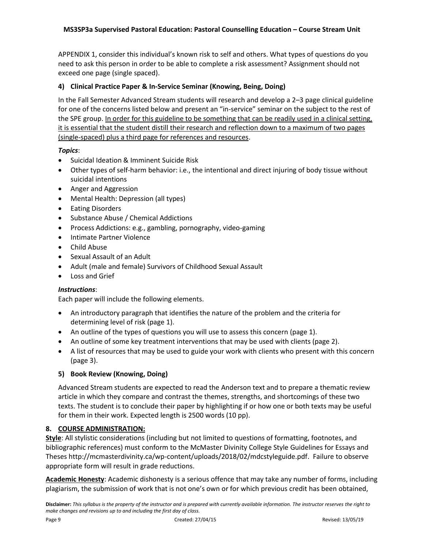APPENDIX 1, consider this individual's known risk to self and others. What types of questions do you need to ask this person in order to be able to complete a risk assessment? Assignment should not exceed one page (single spaced).

# **4) Clinical Practice Paper & In-Service Seminar (Knowing, Being, Doing)**

In the Fall Semester Advanced Stream students will research and develop a 2–3 page clinical guideline for one of the concerns listed below and present an "in-service" seminar on the subject to the rest of the SPE group. In order for this guideline to be something that can be readily used in a clinical setting, it is essential that the student distill their research and reflection down to a maximum of two pages (single-spaced) plus a third page for references and resources.

## *Topics*:

- Suicidal Ideation & Imminent Suicide Risk
- Other types of self-harm behavior: i.e., the intentional and direct injuring of body tissue without suicidal intentions
- Anger and Aggression
- Mental Health: Depression (all types)
- **•** Eating Disorders
- Substance Abuse / Chemical Addictions
- Process Addictions: e.g., gambling, pornography, video-gaming
- Intimate Partner Violence
- Child Abuse
- Sexual Assault of an Adult
- Adult (male and female) Survivors of Childhood Sexual Assault
- Loss and Grief

## *Instructions*:

Each paper will include the following elements.

- An introductory paragraph that identifies the nature of the problem and the criteria for determining level of risk (page 1).
- An outline of the types of questions you will use to assess this concern (page 1).
- An outline of some key treatment interventions that may be used with clients (page 2).
- A list of resources that may be used to guide your work with clients who present with this concern (page 3).

## **5) Book Review (Knowing, Doing)**

Advanced Stream students are expected to read the Anderson text and to prepare a thematic review article in which they compare and contrast the themes, strengths, and shortcomings of these two texts. The student is to conclude their paper by highlighting if or how one or both texts may be useful for them in their work. Expected length is 2500 words (10 pp).

## **8. COURSE ADMINISTRATION:**

**Style**: All stylistic considerations (including but not limited to questions of formatting, footnotes, and bibliographic references) must conform to the McMaster Divinity College Style Guidelines for Essays and Theses http://mcmasterdivinity.ca/wp-content/uploads/2018/02/mdcstyleguide.pdf. Failure to observe appropriate form will result in grade reductions.

**Academic Honesty**: Academic dishonesty is a serious offence that may take any number of forms, including plagiarism, the submission of work that is not one's own or for which previous credit has been obtained,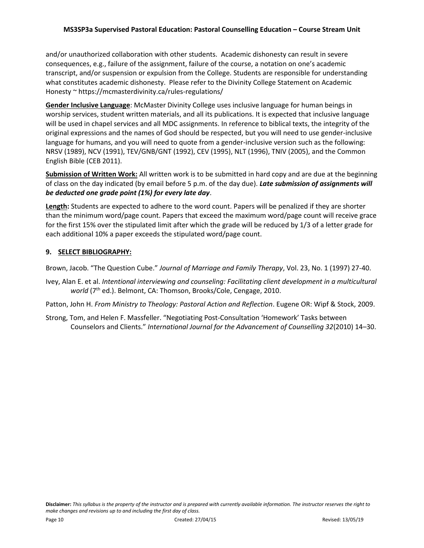and/or unauthorized collaboration with other students. Academic dishonesty can result in severe consequences, e.g., failure of the assignment, failure of the course, a notation on one's academic transcript, and/or suspension or expulsion from the College. Students are responsible for understanding what constitutes academic dishonesty. Please refer to the Divinity College Statement on Academic Honesty ~ https://mcmasterdivinity.ca/rules-regulations/

**Gender Inclusive Language**: McMaster Divinity College uses inclusive language for human beings in worship services, student written materials, and all its publications. It is expected that inclusive language will be used in chapel services and all MDC assignments. In reference to biblical texts, the integrity of the original expressions and the names of God should be respected, but you will need to use gender-inclusive language for humans, and you will need to quote from a gender-inclusive version such as the following: NRSV (1989), NCV (1991), TEV/GNB/GNT (1992), CEV (1995), NLT (1996), TNIV (2005), and the Common English Bible (CEB 2011).

**Submission of Written Work:** All written work is to be submitted in hard copy and are due at the beginning of class on the day indicated (by email before 5 p.m. of the day due). *Late submission of assignments will be deducted one grade point (1%) for every late day*.

**Length:** Students are expected to adhere to the word count. Papers will be penalized if they are shorter than the minimum word/page count. Papers that exceed the maximum word/page count will receive grace for the first 15% over the stipulated limit after which the grade will be reduced by 1/3 of a letter grade for each additional 10% a paper exceeds the stipulated word/page count.

## **9. SELECT BIBLIOGRAPHY:**

Brown, Jacob. "The Question Cube." *Journal of Marriage and Family Therapy*, Vol. 23, No. 1 (1997) 27-40.

Ivey, Alan E. et al. *Intentional interviewing and counseling: Facilitating client development in a multicultural world* (7<sup>th</sup> ed.). Belmont, CA: Thomson, Brooks/Cole, Cengage, 2010.

Patton, John H. *From Ministry to Theology: Pastoral Action and Reflection*. Eugene OR: Wipf & Stock, 2009.

Strong, Tom, and Helen F. Massfeller. "Negotiating Post-Consultation 'Homework' Tasks between Counselors and Clients." *International Journal for the Advancement of Counselling 32*(2010) 14–30.